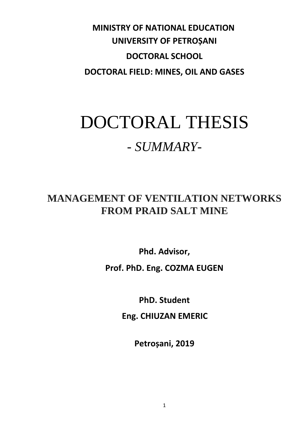## **MINISTRY OF NATIONAL EDUCATION UNIVERSITY OF PETROȘANI DOCTORAL SCHOOL DOCTORAL FIELD: MINES, OIL AND GASES**

# DOCTORAL THESIS *- SUMMARY-*

## **MANAGEMENT OF VENTILATION NETWORKS FROM PRAID SALT MINE**

**Phd. Advisor, Prof. PhD. Eng. COZMA EUGEN**

**PhD. Student**

**Eng. CHIUZAN EMERIC**

**Petroșani, 2019**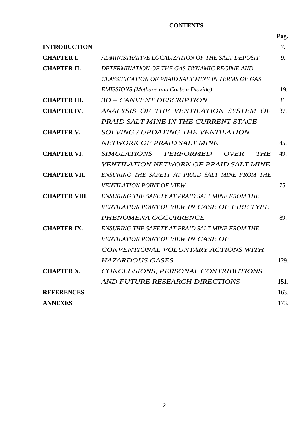### **CONTENTS**

|                      |                                                                     | Pag. |
|----------------------|---------------------------------------------------------------------|------|
| <b>INTRODUCTION</b>  |                                                                     | 7.   |
| <b>CHAPTER I.</b>    | ADMINISTRATIVE LOCALIZATION OF THE SALT DEPOSIT                     | 9.   |
| <b>CHAPTER II.</b>   | DETERMINATION OF THE GAS-DYNAMIC REGIME AND                         |      |
|                      | <b>CLASSIFICATION OF PRAID SALT MINE IN TERMS OF GAS</b>            |      |
|                      | <b>EMISSIONS</b> (Methane and Carbon Dioxide)                       | 19.  |
| <b>CHAPTER III.</b>  | 3D – CANVENT DESCRIPTION                                            | 31.  |
| <b>CHAPTER IV.</b>   | ANALYSIS OF THE VENTILATION SYSTEM OF                               | 37.  |
|                      | PRAID SALT MINE IN THE CURRENT STAGE                                |      |
| <b>CHAPTER V.</b>    | SOLVING / UPDATING THE VENTILATION                                  |      |
|                      | <b>NETWORK OF PRAID SALT MINE</b>                                   | 45.  |
| <b>CHAPTER VI.</b>   | <i>SIMULATIONS</i><br><b>PERFORMED</b><br><i>OVER</i><br><b>THE</b> | 49.  |
|                      | VENTILATION NETWORK OF PRAID SALT MINE                              |      |
| <b>CHAPTER VII.</b>  | ENSURING THE SAFETY AT PRAID SALT MINE FROM THE                     |      |
|                      | <b>VENTILATION POINT OF VIEW</b>                                    | 75.  |
| <b>CHAPTER VIII.</b> | ENSURING THE SAFETY AT PRAID SALT MINE FROM THE                     |      |
|                      | VENTILATION POINT OF VIEW IN CASE OF FIRE TYPE                      |      |
|                      | PHENOMENA OCCURRENCE                                                | 89.  |
| <b>CHAPTER IX.</b>   | ENSURING THE SAFETY AT PRAID SALT MINE FROM THE                     |      |
|                      | VENTILATION POINT OF VIEW IN CASE OF                                |      |
|                      | CONVENTIONAL VOLUNTARY ACTIONS WITH                                 |      |
|                      | <b>HAZARDOUS GASES</b>                                              | 129. |
| <b>CHAPTER X.</b>    | CONCLUSIONS, PERSONAL CONTRIBUTIONS                                 |      |
|                      | AND FUTURE RESEARCH DIRECTIONS                                      | 151. |
| <b>REFERENCES</b>    |                                                                     | 163. |
| <b>ANNEXES</b>       |                                                                     | 173. |
|                      |                                                                     |      |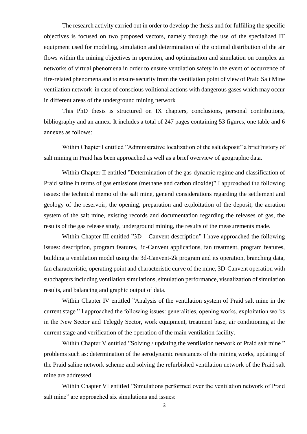The research activity carried out in order to develop the thesis and for fulfilling the specific objectives is focused on two proposed vectors, namely through the use of the specialized IT equipment used for modeling, simulation and determination of the optimal distribution of the air flows within the mining objectives in operation, and optimization and simulation on complex air networks of virtual phenomena in order to ensure ventilation safety in the event of occurrence of fire-related phenomena and to ensure security from the ventilation point of view of Praid Salt Mine ventilation network in case of conscious volitional actions with dangerous gases which may occur in different areas of the underground mining network

This PhD thesis is structured on IX chapters, conclusions, personal contributions, bibliography and an annex. It includes a total of 247 pages containing 53 figures, one table and 6 annexes as follows:

Within Chapter I entitled "Administrative localization of the salt deposit" a brief history of salt mining in Praid has been approached as well as a brief overview of geographic data.

Within Chapter II entitled "Determination of the gas-dynamic regime and classification of Praid saline in terms of gas emissions (methane and carbon dioxide)" I approached the following issues: the technical memo of the salt mine, general considerations regarding the settlement and geology of the reservoir, the opening, preparation and exploitation of the deposit, the aeration system of the salt mine, existing records and documentation regarding the releases of gas, the results of the gas release study, underground mining, the results of the measurements made.

Within Chapter III entitled  $"3D -$  Canvent description" I have approached the following issues: description, program features, 3d-Canvent applications, fan treatment, program features, building a ventilation model using the 3d-Canvent-2k program and its operation, branching data, fan characteristic, operating point and characteristic curve of the mine, 3D-Canvent operation with subchapters including ventilation simulations, simulation performance, visualization of simulation results, and balancing and graphic output of data.

Within Chapter IV entitled "Analysis of the ventilation system of Praid salt mine in the current stage " I approached the following issues: generalities, opening works, exploitation works in the New Sector and Telegdy Sector, work equipment, treatment base, air conditioning at the current stage and verification of the operation of the main ventilation facility.

Within Chapter V entitled "Solving / updating the ventilation network of Praid salt mine" problems such as: determination of the aerodynamic resistances of the mining works, updating of the Praid saline network scheme and solving the refurbished ventilation network of the Praid salt mine are addressed.

Within Chapter VI entitled "Simulations performed over the ventilation network of Praid salt mine" are approached six simulations and issues: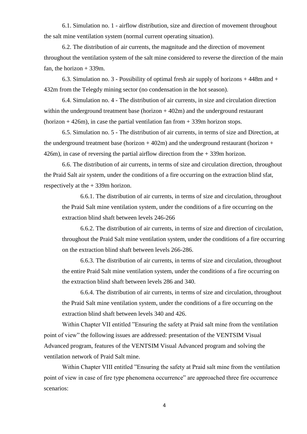6.1. Simulation no. 1 - airflow distribution, size and direction of movement throughout the salt mine ventilation system (normal current operating situation).

6.2. The distribution of air currents, the magnitude and the direction of movement throughout the ventilation system of the salt mine considered to reverse the direction of the main fan, the horizon  $+339$ m.

6.3. Simulation no. 3 - Possibility of optimal fresh air supply of horizons + 448m and + 432m from the Telegdy mining sector (no condensation in the hot season).

6.4. Simulation no. 4 - The distribution of air currents, in size and circulation direction within the underground treatment base (horizon  $+402m$ ) and the underground restaurant (horizon  $+426$ m), in case the partial ventilation fan from  $+339$ m horizon stops.

6.5. Simulation no. 5 - The distribution of air currents, in terms of size and Direction, at the underground treatment base (horizon  $+402m$ ) and the underground restaurant (horizon  $+$ 426m), in case of reversing the partial airflow direction from the + 339m horizon.

6.6. The distribution of air currents, in terms of size and circulation direction, throughout the Praid Salt air system, under the conditions of a fire occurring on the extraction blind sfat, respectively at the + 339m horizon.

6.6.1. The distribution of air currents, in terms of size and circulation, throughout the Praid Salt mine ventilation system, under the conditions of a fire occurring on the extraction blind shaft between levels 246-266

6.6.2. The distribution of air currents, in terms of size and direction of circulation, throughout the Praid Salt mine ventilation system, under the conditions of a fire occurring on the extraction blind shaft between levels 266-286.

6.6.3. The distribution of air currents, in terms of size and circulation, throughout the entire Praid Salt mine ventilation system, under the conditions of a fire occurring on the extraction blind shaft between levels 286 and 340.

6.6.4. The distribution of air currents, in terms of size and circulation, throughout the Praid Salt mine ventilation system, under the conditions of a fire occurring on the extraction blind shaft between levels 340 and 426.

Within Chapter VII entitled "Ensuring the safety at Praid salt mine from the ventilation point of view" the following issues are addressed: presentation of the VENTSIM Visual Advanced program, features of the VENTSIM Visual Advanced program and solving the ventilation network of Praid Salt mine.

Within Chapter VIII entitled "Ensuring the safety at Praid salt mine from the ventilation point of view in case of fire type phenomena occurrence" are approached three fire occurrence scenarios: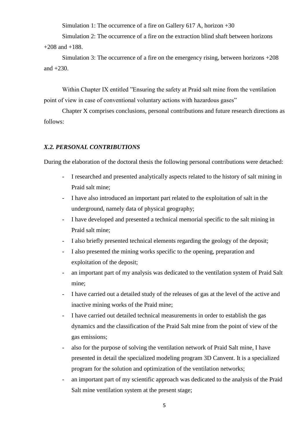Simulation 1: The occurrence of a fire on Gallery 617 A, horizon +30

Simulation 2: The occurrence of a fire on the extraction blind shaft between horizons  $+208$  and  $+188$ .

Simulation 3: The occurrence of a fire on the emergency rising, between horizons +208 and  $+230$ .

Within Chapter IX entitled "Ensuring the safety at Praid salt mine from the ventilation point of view in case of conventional voluntary actions with hazardous gases"

Chapter X comprises conclusions, personal contributions and future research directions as follows:

#### *X.2. PERSONAL CONTRIBUTIONS*

During the elaboration of the doctoral thesis the following personal contributions were detached:

- I researched and presented analytically aspects related to the history of salt mining in Praid salt mine;
- I have also introduced an important part related to the exploitation of salt in the underground, namely data of physical geography;
- I have developed and presented a technical memorial specific to the salt mining in Praid salt mine;
- I also briefly presented technical elements regarding the geology of the deposit;
- I also presented the mining works specific to the opening, preparation and exploitation of the deposit;
- an important part of my analysis was dedicated to the ventilation system of Praid Salt mine;
- I have carried out a detailed study of the releases of gas at the level of the active and inactive mining works of the Praid mine;
- I have carried out detailed technical measurements in order to establish the gas dynamics and the classification of the Praid Salt mine from the point of view of the gas emissions;
- also for the purpose of solving the ventilation network of Praid Salt mine, I have presented in detail the specialized modeling program 3D Canvent. It is a specialized program for the solution and optimization of the ventilation networks;
- an important part of my scientific approach was dedicated to the analysis of the Praid Salt mine ventilation system at the present stage;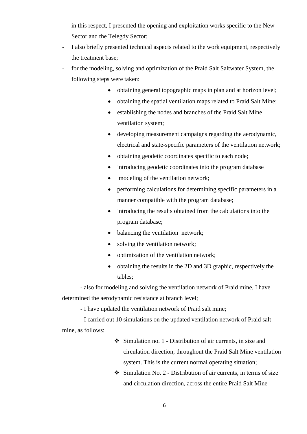- in this respect, I presented the opening and exploitation works specific to the New Sector and the Telegdy Sector;
- I also briefly presented technical aspects related to the work equipment, respectively the treatment base;
- for the modeling, solving and optimization of the Praid Salt Saltwater System, the following steps were taken:
	- obtaining general topographic maps in plan and at horizon level;
	- obtaining the spatial ventilation maps related to Praid Salt Mine:
	- establishing the nodes and branches of the Praid Salt Mine ventilation system;
	- developing measurement campaigns regarding the aerodynamic. electrical and state-specific parameters of the ventilation network;
	- obtaining geodetic coordinates specific to each node;
	- introducing geodetic coordinates into the program database
	- modeling of the ventilation network:
	- performing calculations for determining specific parameters in a manner compatible with the program database;
	- introducing the results obtained from the calculations into the program database;
	- balancing the ventilation network;
	- solving the ventilation network;
	- optimization of the ventilation network;
	- obtaining the results in the 2D and 3D graphic, respectively the tables;

- also for modeling and solving the ventilation network of Praid mine, I have determined the aerodynamic resistance at branch level;

- I have updated the ventilation network of Praid salt mine;

- I carried out 10 simulations on the updated ventilation network of Praid salt mine, as follows:

- ❖ Simulation no. 1 Distribution of air currents, in size and circulation direction, throughout the Praid Salt Mine ventilation system. This is the current normal operating situation;
- ❖ Simulation No. 2 Distribution of air currents, in terms of size and circulation direction, across the entire Praid Salt Mine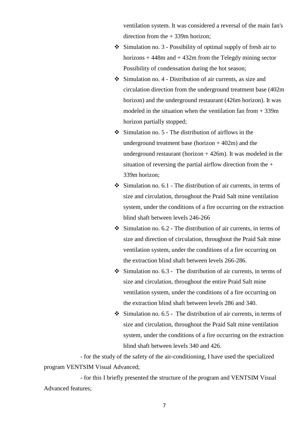ventilation system. It was considered a reversal of the main fan's direction from the + 339m horizon;

- ❖ Simulation no. 3 Possibility of optimal supply of fresh air to horizons  $+448m$  and  $+432m$  from the Telegdy mining sector Possibility of condensation during the hot season;
- ❖ Simulation no. 4 Distribution of air currents, as size and circulation direction from the underground treatment base (402m horizon) and the underground restaurant (426m horizon). It was modeled in the situation when the ventilation fan from  $+339m$ horizon partially stopped;
- ❖ Simulation no. 5 The distribution of airflows in the underground treatment base (horizon  $+402m$ ) and the underground restaurant (horizon  $+426$ m). It was modeled in the situation of reversing the partial airflow direction from the + 339m horizon;
- $\div$  Simulation no. 6.1 The distribution of air currents, in terms of size and circulation, throughout the Praid Salt mine ventilation system, under the conditions of a fire occurring on the extraction blind shaft between levels 246-266
- $\div$  Simulation no. 6.2 The distribution of air currents, in terms of size and direction of circulation, throughout the Praid Salt mine ventilation system, under the conditions of a fire occurring on the extraction blind shaft between levels 266-286.
- $\div$  Simulation no. 6.3 The distribution of air currents, in terms of size and circulation, throughout the entire Praid Salt mine ventilation system, under the conditions of a fire occurring on the extraction blind shaft between levels 286 and 340.
- $\div$  Simulation no. 6.5 The distribution of air currents, in terms of size and circulation, throughout the Praid Salt mine ventilation system, under the conditions of a fire occurring on the extraction blind shaft between levels 340 and 426.

- for the study of the safety of the air-conditioning, I have used the specialized program VENTSIM Visual Advanced;

- for this I briefly presented the structure of the program and VENTSIM Visual Advanced features;